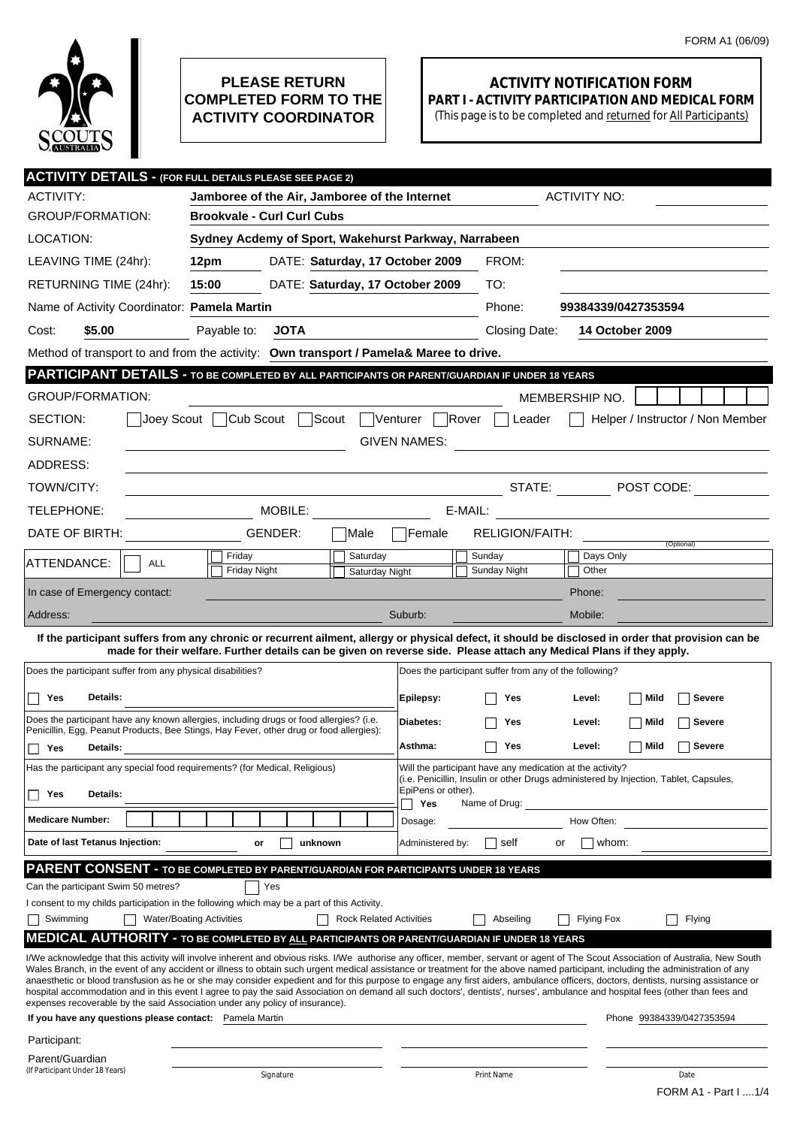

## **PLEASE RETURN COMPLETED FORM TO THE ACTIVITY COORDINATOR**

## **ACTIVITY NOTIFICATION FORM PART I - ACTIVITY PARTICIPATION AND MEDICAL FORM**

(This page is to be completed and returned for All Participants)

|                                                                                                                                                                                                                                                                                                                                                                                                                                                                                                                                                                                                                                                                                                                                                                                                                                | <b>ACTIVITY DETAILS - (FOR FULL DETAILS PLEASE SEE PAGE 2)</b>                                                       |                                               |                     |                                                           |                                                                                                                                                                |  |  |  |
|--------------------------------------------------------------------------------------------------------------------------------------------------------------------------------------------------------------------------------------------------------------------------------------------------------------------------------------------------------------------------------------------------------------------------------------------------------------------------------------------------------------------------------------------------------------------------------------------------------------------------------------------------------------------------------------------------------------------------------------------------------------------------------------------------------------------------------|----------------------------------------------------------------------------------------------------------------------|-----------------------------------------------|---------------------|-----------------------------------------------------------|----------------------------------------------------------------------------------------------------------------------------------------------------------------|--|--|--|
| <b>ACTIVITY:</b>                                                                                                                                                                                                                                                                                                                                                                                                                                                                                                                                                                                                                                                                                                                                                                                                               |                                                                                                                      | Jamboree of the Air, Jamboree of the Internet |                     |                                                           | <b>ACTIVITY NO:</b>                                                                                                                                            |  |  |  |
| <b>GROUP/FORMATION:</b>                                                                                                                                                                                                                                                                                                                                                                                                                                                                                                                                                                                                                                                                                                                                                                                                        |                                                                                                                      | <b>Brookvale - Curl Curl Cubs</b>             |                     |                                                           |                                                                                                                                                                |  |  |  |
| LOCATION:                                                                                                                                                                                                                                                                                                                                                                                                                                                                                                                                                                                                                                                                                                                                                                                                                      | Sydney Acdemy of Sport, Wakehurst Parkway, Narrabeen                                                                 |                                               |                     |                                                           |                                                                                                                                                                |  |  |  |
| LEAVING TIME (24hr):                                                                                                                                                                                                                                                                                                                                                                                                                                                                                                                                                                                                                                                                                                                                                                                                           | 12pm                                                                                                                 | DATE: Saturday, 17 October 2009               |                     | FROM:                                                     |                                                                                                                                                                |  |  |  |
| RETURNING TIME (24hr):                                                                                                                                                                                                                                                                                                                                                                                                                                                                                                                                                                                                                                                                                                                                                                                                         | 15:00                                                                                                                | DATE: Saturday, 17 October 2009               |                     | TO:                                                       |                                                                                                                                                                |  |  |  |
| Name of Activity Coordinator: Pamela Martin                                                                                                                                                                                                                                                                                                                                                                                                                                                                                                                                                                                                                                                                                                                                                                                    |                                                                                                                      |                                               | Phone:              | 99384339/0427353594                                       |                                                                                                                                                                |  |  |  |
| \$5.00<br>Cost:                                                                                                                                                                                                                                                                                                                                                                                                                                                                                                                                                                                                                                                                                                                                                                                                                | Payable to:<br><b>JOTA</b>                                                                                           |                                               |                     | Closing Date:                                             | <b>14 October 2009</b>                                                                                                                                         |  |  |  |
|                                                                                                                                                                                                                                                                                                                                                                                                                                                                                                                                                                                                                                                                                                                                                                                                                                | Method of transport to and from the activity: Own transport / Pamela& Maree to drive.                                |                                               |                     |                                                           |                                                                                                                                                                |  |  |  |
| PARTICIPANT DETAILS - TO BE COMPLETED BY ALL PARTICIPANTS OR PARENT/GUARDIAN IF UNDER 18 YEARS                                                                                                                                                                                                                                                                                                                                                                                                                                                                                                                                                                                                                                                                                                                                 |                                                                                                                      |                                               |                     |                                                           |                                                                                                                                                                |  |  |  |
| <b>GROUP/FORMATION:</b>                                                                                                                                                                                                                                                                                                                                                                                                                                                                                                                                                                                                                                                                                                                                                                                                        |                                                                                                                      |                                               |                     |                                                           | MEMBERSHIP NO.                                                                                                                                                 |  |  |  |
| SECTION:                                                                                                                                                                                                                                                                                                                                                                                                                                                                                                                                                                                                                                                                                                                                                                                                                       | Cub Scout  <br>Joev Scout                                                                                            | Scout <sup>7</sup>                            | Venturer<br>Rover   | Leader                                                    | Helper / Instructor / Non Member                                                                                                                               |  |  |  |
| SURNAME:                                                                                                                                                                                                                                                                                                                                                                                                                                                                                                                                                                                                                                                                                                                                                                                                                       |                                                                                                                      |                                               | <b>GIVEN NAMES:</b> |                                                           | <u> 1980 - Jan Stein Stein Stein Stein Stein Stein Stein Stein Stein Stein Stein Stein Stein Stein Stein Stein S</u>                                           |  |  |  |
| ADDRESS:                                                                                                                                                                                                                                                                                                                                                                                                                                                                                                                                                                                                                                                                                                                                                                                                                       |                                                                                                                      |                                               |                     |                                                           |                                                                                                                                                                |  |  |  |
| TOWN/CITY:                                                                                                                                                                                                                                                                                                                                                                                                                                                                                                                                                                                                                                                                                                                                                                                                                     |                                                                                                                      |                                               |                     |                                                           | STATE: $\boxed{\blacksquare}$ POST CODE:                                                                                                                       |  |  |  |
| TELEPHONE:                                                                                                                                                                                                                                                                                                                                                                                                                                                                                                                                                                                                                                                                                                                                                                                                                     | MOBILE:<br>E-MAIL:                                                                                                   |                                               |                     |                                                           |                                                                                                                                                                |  |  |  |
| DATE OF BIRTH:                                                                                                                                                                                                                                                                                                                                                                                                                                                                                                                                                                                                                                                                                                                                                                                                                 | GENDER:                                                                                                              | Male                                          | Female              | <b>RELIGION/FAITH:</b>                                    |                                                                                                                                                                |  |  |  |
| ATTENDANCE:<br><b>ALL</b>                                                                                                                                                                                                                                                                                                                                                                                                                                                                                                                                                                                                                                                                                                                                                                                                      | Friday                                                                                                               | Saturday                                      |                     | Sunday                                                    | (Optional)<br>Days Only                                                                                                                                        |  |  |  |
|                                                                                                                                                                                                                                                                                                                                                                                                                                                                                                                                                                                                                                                                                                                                                                                                                                | Friday Night                                                                                                         | Saturday Night                                |                     | Sunday Night                                              | Other                                                                                                                                                          |  |  |  |
| In case of Emergency contact:                                                                                                                                                                                                                                                                                                                                                                                                                                                                                                                                                                                                                                                                                                                                                                                                  |                                                                                                                      |                                               |                     |                                                           | Phone:                                                                                                                                                         |  |  |  |
| Address:                                                                                                                                                                                                                                                                                                                                                                                                                                                                                                                                                                                                                                                                                                                                                                                                                       |                                                                                                                      |                                               | Suburb:             |                                                           | Mobile:<br>If the participant suffers from any chronic or recurrent ailment, allergy or physical defect, it should be disclosed in order that provision can be |  |  |  |
|                                                                                                                                                                                                                                                                                                                                                                                                                                                                                                                                                                                                                                                                                                                                                                                                                                | made for their welfare. Further details can be given on reverse side. Please attach any Medical Plans if they apply. |                                               |                     |                                                           |                                                                                                                                                                |  |  |  |
| Does the participant suffer from any physical disabilities?                                                                                                                                                                                                                                                                                                                                                                                                                                                                                                                                                                                                                                                                                                                                                                    |                                                                                                                      |                                               |                     | Does the participant suffer from any of the following?    |                                                                                                                                                                |  |  |  |
| Yes<br>Details:                                                                                                                                                                                                                                                                                                                                                                                                                                                                                                                                                                                                                                                                                                                                                                                                                |                                                                                                                      |                                               | Epilepsy:           | Yes                                                       | Level:<br>Mild<br>Severe                                                                                                                                       |  |  |  |
| Does the participant have any known allergies, including drugs or food allergies? (i.e.<br>Penicillin, Egg, Peanut Products, Bee Stings, Hay Fever, other drug or food allergies):                                                                                                                                                                                                                                                                                                                                                                                                                                                                                                                                                                                                                                             |                                                                                                                      | Diabetes:                                     | Yes                 | Level:<br>Mild<br>Severe                                  |                                                                                                                                                                |  |  |  |
| Yes<br><b>Details:</b>                                                                                                                                                                                                                                                                                                                                                                                                                                                                                                                                                                                                                                                                                                                                                                                                         |                                                                                                                      | Asthma:                                       | Yes                 | Mild<br><b>Severe</b><br>Level:                           |                                                                                                                                                                |  |  |  |
|                                                                                                                                                                                                                                                                                                                                                                                                                                                                                                                                                                                                                                                                                                                                                                                                                                | Has the participant any special food requirements? (for Medical, Religious)                                          |                                               |                     | Will the participant have any medication at the activity? | (i.e. Penicillin, Insulin or other Drugs administered by Injection, Tablet, Capsules,                                                                          |  |  |  |
| Details:<br>Yes                                                                                                                                                                                                                                                                                                                                                                                                                                                                                                                                                                                                                                                                                                                                                                                                                |                                                                                                                      |                                               | EpiPens or other).  |                                                           |                                                                                                                                                                |  |  |  |
| <b>Medicare Number:</b>                                                                                                                                                                                                                                                                                                                                                                                                                                                                                                                                                                                                                                                                                                                                                                                                        |                                                                                                                      |                                               | Yes<br>Dosage:      | Name of Drug:                                             | How Often:                                                                                                                                                     |  |  |  |
| Date of last Tetanus Injection:                                                                                                                                                                                                                                                                                                                                                                                                                                                                                                                                                                                                                                                                                                                                                                                                | or                                                                                                                   | unknown                                       | Administered by:    | self                                                      | whom:<br>or                                                                                                                                                    |  |  |  |
|                                                                                                                                                                                                                                                                                                                                                                                                                                                                                                                                                                                                                                                                                                                                                                                                                                | <b>PARENT CONSENT - TO BE COMPLETED BY PARENT/GUARDIAN FOR PARTICIPANTS UNDER 18 YEARS</b>                           |                                               |                     |                                                           |                                                                                                                                                                |  |  |  |
| Can the participant Swim 50 metres?                                                                                                                                                                                                                                                                                                                                                                                                                                                                                                                                                                                                                                                                                                                                                                                            | Yes                                                                                                                  |                                               |                     |                                                           |                                                                                                                                                                |  |  |  |
|                                                                                                                                                                                                                                                                                                                                                                                                                                                                                                                                                                                                                                                                                                                                                                                                                                | I consent to my childs participation in the following which may be a part of this Activity.                          |                                               |                     |                                                           |                                                                                                                                                                |  |  |  |
| Swimming                                                                                                                                                                                                                                                                                                                                                                                                                                                                                                                                                                                                                                                                                                                                                                                                                       | <b>Water/Boating Activities</b>                                                                                      | <b>Rock Related Activities</b>                |                     | Abseiling                                                 | Flying<br><b>Flying Fox</b>                                                                                                                                    |  |  |  |
|                                                                                                                                                                                                                                                                                                                                                                                                                                                                                                                                                                                                                                                                                                                                                                                                                                | <b>MEDICAL AUTHORITY - TO BE COMPLETED BY ALL PARTICIPANTS OR PARENT/GUARDIAN IF UNDER 18 YEARS</b>                  |                                               |                     |                                                           |                                                                                                                                                                |  |  |  |
| I/We acknowledge that this activity will involve inherent and obvious risks. I/We authorise any officer, member, servant or agent of The Scout Association of Australia, New South<br>Wales Branch, in the event of any accident or illness to obtain such urgent medical assistance or treatment for the above named participant, including the administration of any<br>anaesthetic or blood transfusion as he or she may consider expedient and for this purpose to engage any first aiders, ambulance officers, doctors, dentists, nursing assistance or<br>hospital accommodation and in this event I agree to pay the said Association on demand all such doctors', dentists', nurses', ambulance and hospital fees (other than fees and<br>expenses recoverable by the said Association under any policy of insurance). |                                                                                                                      |                                               |                     |                                                           |                                                                                                                                                                |  |  |  |
| If you have any questions please contact: Pamela Martin                                                                                                                                                                                                                                                                                                                                                                                                                                                                                                                                                                                                                                                                                                                                                                        |                                                                                                                      |                                               |                     |                                                           | Phone 99384339/0427353594                                                                                                                                      |  |  |  |
| Participant:                                                                                                                                                                                                                                                                                                                                                                                                                                                                                                                                                                                                                                                                                                                                                                                                                   |                                                                                                                      |                                               |                     |                                                           |                                                                                                                                                                |  |  |  |
| Parent/Guardian<br>(If Participant Under 18 Years)                                                                                                                                                                                                                                                                                                                                                                                                                                                                                                                                                                                                                                                                                                                                                                             | Signature                                                                                                            |                                               |                     | Print Name                                                | Date                                                                                                                                                           |  |  |  |
|                                                                                                                                                                                                                                                                                                                                                                                                                                                                                                                                                                                                                                                                                                                                                                                                                                |                                                                                                                      |                                               |                     |                                                           | FORM A1 - Part I  1/4                                                                                                                                          |  |  |  |